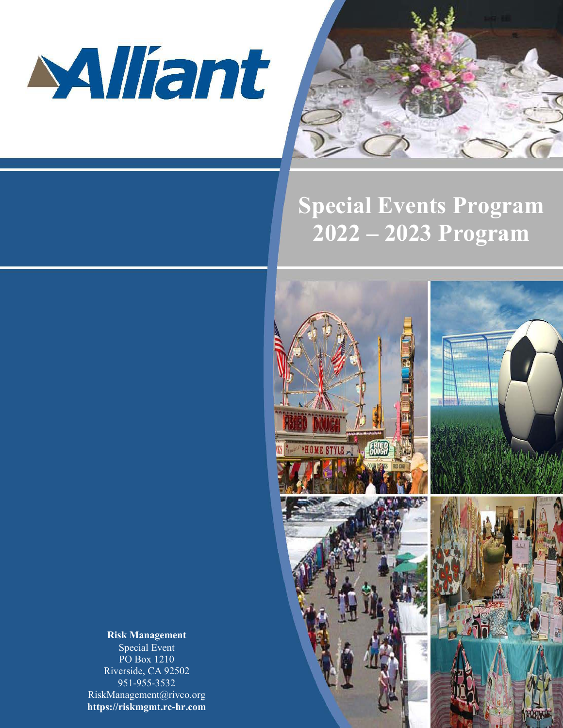



# **Special Events Program 2022 – 2023 Program**



**Risk Management** Special Event PO Box 1210 Riverside, CA 92502 951-955-3532 RiskManagement@rivco.org **https://riskmgmt.rc-hr.com**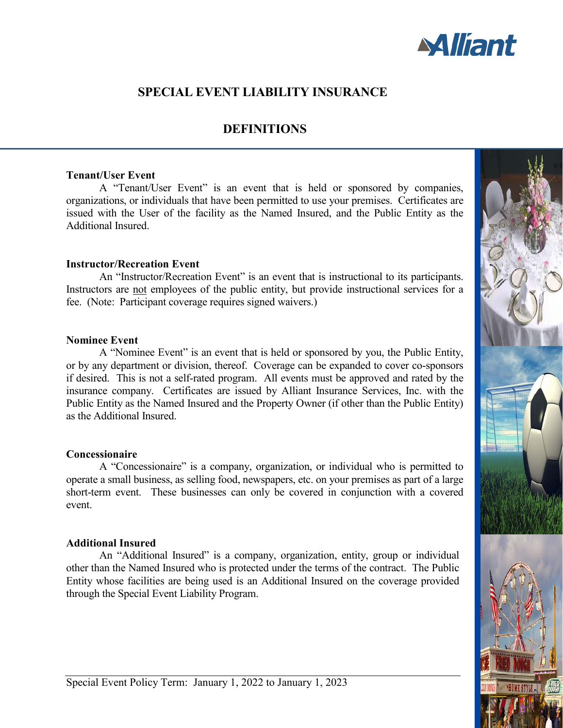

# **SPECIAL EVENT LIABILITY INSURANCE**

## **DEFINITIONS**

### **Tenant/User Event**

A "Tenant/User Event" is an event that is held or sponsored by companies, organizations, or individuals that have been permitted to use your premises. Certificates are issued with the User of the facility as the Named Insured, and the Public Entity as the Additional Insured.

### **Instructor/Recreation Event**

An "Instructor/Recreation Event" is an event that is instructional to its participants. Instructors are not employees of the public entity, but provide instructional services for a fee. (Note: Participant coverage requires signed waivers.)

### **Nominee Event**

A "Nominee Event" is an event that is held or sponsored by you, the Public Entity, or by any department or division, thereof. Coverage can be expanded to cover co-sponsors if desired. This is not a self-rated program. All events must be approved and rated by the insurance company. Certificates are issued by Alliant Insurance Services, Inc. with the Public Entity as the Named Insured and the Property Owner (if other than the Public Entity) as the Additional Insured.

### **Concessionaire**

A "Concessionaire" is a company, organization, or individual who is permitted to operate a small business, as selling food, newspapers, etc. on your premises as part of a large short-term event. These businesses can only be covered in conjunction with a covered event.

### **Additional Insured**

An "Additional Insured" is a company, organization, entity, group or individual other than the Named Insured who is protected under the terms of the contract. The Public Entity whose facilities are being used is an Additional Insured on the coverage provided through the Special Event Liability Program.

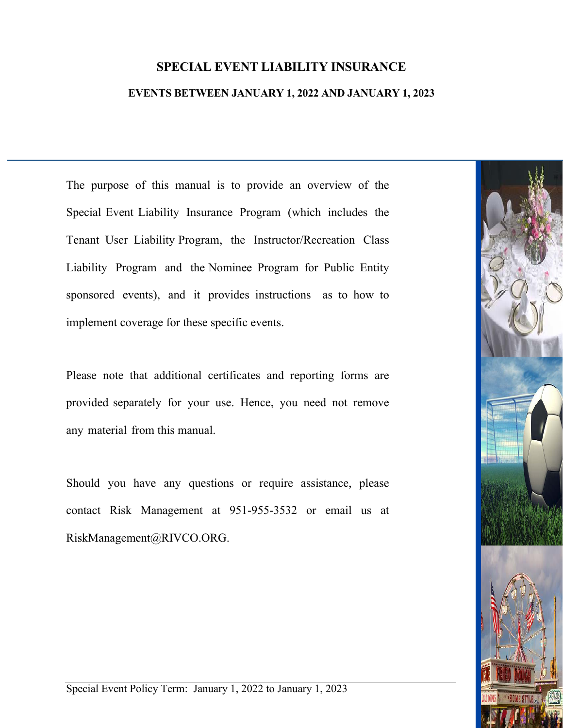# **SPECIAL EVENT LIABILITY INSURANCE**

### **EVENTS BETWEEN JANUARY 1, 2022 AND JANUARY 1, 2023**

The purpose of this manual is to provide an overview of the Special Event Liability Insurance Program (which includes the Tenant User Liability Program, the Instructor/Recreation Class Liability Program and the Nominee Program for Public Entity sponsored events), and it provides instructions as to how to implement coverage for these specific events.

Please note that additional certificates and reporting forms are provided separately for your use. Hence, you need not remove any material from this manual.

Should you have any questions or require assistance, please contact Risk Management at 951-955-3532 or email us at RiskManagement@RIVCO.ORG.

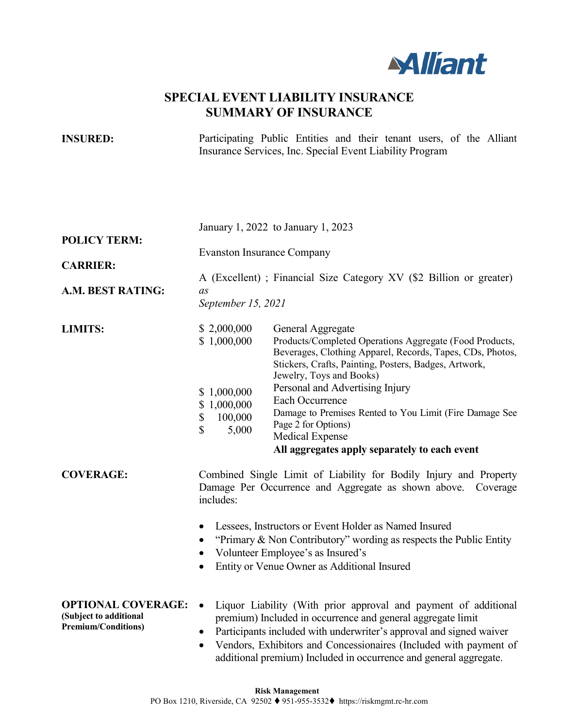

# **SPECIAL EVENT LIABILITY INSURANCE SUMMARY OF INSURANCE**

**INSURED:** Participating Public Entities and their tenant users, of the Alliant Insurance Services, Inc. Special Event Liability Program

|                                                                                   | January 1, 2022 to January 1, 2023                                                                                                                                                                                                                                                                                                                                                                                                                                                                                                            |
|-----------------------------------------------------------------------------------|-----------------------------------------------------------------------------------------------------------------------------------------------------------------------------------------------------------------------------------------------------------------------------------------------------------------------------------------------------------------------------------------------------------------------------------------------------------------------------------------------------------------------------------------------|
| <b>POLICY TERM:</b>                                                               | <b>Evanston Insurance Company</b>                                                                                                                                                                                                                                                                                                                                                                                                                                                                                                             |
| <b>CARRIER:</b>                                                                   | A (Excellent); Financial Size Category XV (\$2 Billion or greater)                                                                                                                                                                                                                                                                                                                                                                                                                                                                            |
| A.M. BEST RATING:                                                                 | as<br>September 15, 2021                                                                                                                                                                                                                                                                                                                                                                                                                                                                                                                      |
| <b>LIMITS:</b>                                                                    | \$2,000,000<br>General Aggregate<br>Products/Completed Operations Aggregate (Food Products,<br>\$1,000,000<br>Beverages, Clothing Apparel, Records, Tapes, CDs, Photos,<br>Stickers, Crafts, Painting, Posters, Badges, Artwork,<br>Jewelry, Toys and Books)<br>Personal and Advertising Injury<br>\$1,000,000<br>Each Occurrence<br>\$1,000,000<br>Damage to Premises Rented to You Limit (Fire Damage See<br>\$<br>100,000<br>Page 2 for Options)<br>\$<br>5,000<br><b>Medical Expense</b><br>All aggregates apply separately to each event |
| <b>COVERAGE:</b>                                                                  | Combined Single Limit of Liability for Bodily Injury and Property<br>Damage Per Occurrence and Aggregate as shown above. Coverage<br>includes:                                                                                                                                                                                                                                                                                                                                                                                                |
|                                                                                   | Lessees, Instructors or Event Holder as Named Insured<br>$\bullet$<br>"Primary $\&$ Non Contributory" wording as respects the Public Entity<br>Volunteer Employee's as Insured's<br>Entity or Venue Owner as Additional Insured                                                                                                                                                                                                                                                                                                               |
| <b>OPTIONAL COVERAGE:</b><br>(Subject to additional<br><b>Premium/Conditions)</b> | Liquor Liability (With prior approval and payment of additional<br>$\bullet$<br>premium) Included in occurrence and general aggregate limit<br>Participants included with underwriter's approval and signed waiver<br>$\bullet$<br>Vendors, Exhibitors and Concessionaires (Included with payment of<br>$\bullet$<br>additional premium) Included in occurrence and general aggregate.                                                                                                                                                        |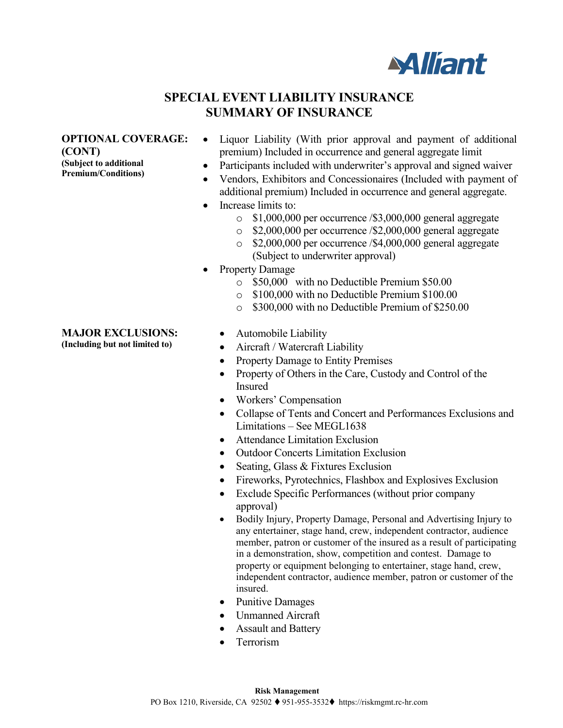

# **SPECIAL EVENT LIABILITY INSURANCE SUMMARY OF INSURANCE**

### **OPTIONAL COVERAGE:**

**(CONT)** 

**(Subject to additional Premium/Conditions)**

### **MAJOR EXCLUSIONS:**

**(Including but not limited to)**

- Liquor Liability (With prior approval and payment of additional premium) Included in occurrence and general aggregate limit
- Participants included with underwriter's approval and signed waiver
- Vendors, Exhibitors and Concessionaires (Included with payment of additional premium) Included in occurrence and general aggregate.
- Increase limits to:
	- o \$1,000,000 per occurrence /\$3,000,000 general aggregate
	- o \$2,000,000 per occurrence /\$2,000,000 general aggregate
	- $\degree$  \$2,000,000 per occurrence /\$4,000,000 general aggregate (Subject to underwriter approval)
- Property Damage
	- o \$50,000 with no Deductible Premium \$50.00
	- o \$100,000 with no Deductible Premium \$100.00
	- o \$300,000 with no Deductible Premium of \$250.00
	- Automobile Liability
	- Aircraft / Watercraft Liability
	- Property Damage to Entity Premises
	- Property of Others in the Care, Custody and Control of the Insured
	- Workers' Compensation
	- Collapse of Tents and Concert and Performances Exclusions and Limitations – See MEGL1638
	- Attendance Limitation Exclusion
	- Outdoor Concerts Limitation Exclusion
	- Seating, Glass & Fixtures Exclusion
	- Fireworks, Pyrotechnics, Flashbox and Explosives Exclusion
	- Exclude Specific Performances (without prior company approval)
	- Bodily Injury, Property Damage, Personal and Advertising Injury to any entertainer, stage hand, crew, independent contractor, audience member, patron or customer of the insured as a result of participating in a demonstration, show, competition and contest. Damage to property or equipment belonging to entertainer, stage hand, crew, independent contractor, audience member, patron or customer of the insured.
	- Punitive Damages
	- Unmanned Aircraft
	- Assault and Battery
	- **Terrorism**